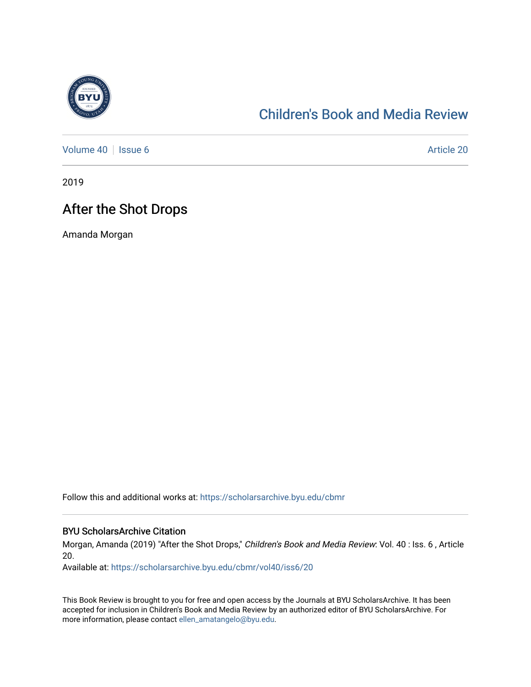

## [Children's Book and Media Review](https://scholarsarchive.byu.edu/cbmr)

[Volume 40](https://scholarsarchive.byu.edu/cbmr/vol40) | [Issue 6](https://scholarsarchive.byu.edu/cbmr/vol40/iss6) Article 20

2019

## After the Shot Drops

Amanda Morgan

Follow this and additional works at: [https://scholarsarchive.byu.edu/cbmr](https://scholarsarchive.byu.edu/cbmr?utm_source=scholarsarchive.byu.edu%2Fcbmr%2Fvol40%2Fiss6%2F20&utm_medium=PDF&utm_campaign=PDFCoverPages) 

#### BYU ScholarsArchive Citation

Morgan, Amanda (2019) "After the Shot Drops," Children's Book and Media Review: Vol. 40 : Iss. 6 , Article 20.

Available at: [https://scholarsarchive.byu.edu/cbmr/vol40/iss6/20](https://scholarsarchive.byu.edu/cbmr/vol40/iss6/20?utm_source=scholarsarchive.byu.edu%2Fcbmr%2Fvol40%2Fiss6%2F20&utm_medium=PDF&utm_campaign=PDFCoverPages)

This Book Review is brought to you for free and open access by the Journals at BYU ScholarsArchive. It has been accepted for inclusion in Children's Book and Media Review by an authorized editor of BYU ScholarsArchive. For more information, please contact [ellen\\_amatangelo@byu.edu.](mailto:ellen_amatangelo@byu.edu)